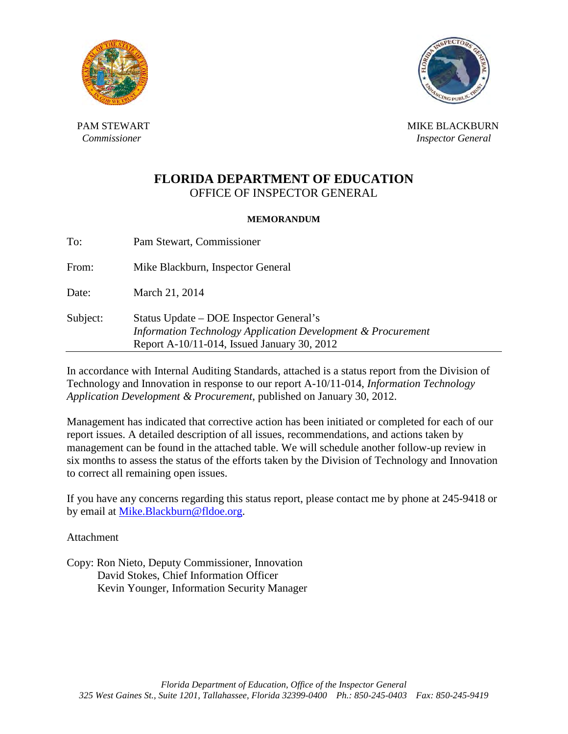



PAM STEWART NEWSLET AND RESERVE THE MIKE BLACKBURN MIKE BLACKBURN *Commissioner Inspector General <i>Inspector General* 

# **FLORIDA DEPARTMENT OF EDUCATION** OFFICE OF INSPECTOR GENERAL

#### **MEMORANDUM**

To: Pam Stewart, Commissioner From: Mike Blackburn, Inspector General Date: March 21, 2014 Subject: Status Update – DOE Inspector General's  *Information Technology Application Development & Procurement*  Report A-10/11-014, Issued January 30, 2012

In accordance with Internal Auditing Standards, attached is a status report from the Division of Technology and Innovation in response to our report A-10/11-014, *Information Technology Application Development & Procurement*, published on January 30, 2012.

Management has indicated that corrective action has been initiated or completed for each of our report issues. A detailed description of all issues, recommendations, and actions taken by management can be found in the attached table. We will schedule another follow-up review in six months to assess the status of the efforts taken by the Division of Technology and Innovation to correct all remaining open issues.

If you have any concerns regarding this status report, please contact me by phone at 245-9418 or by email at [Mike.Blackburn@fldoe.org.](mailto:Mike.Blackburn@fldoe.org)

Attachment

Copy: Ron Nieto, Deputy Commissioner, Innovation David Stokes, Chief Information Officer Kevin Younger, Information Security Manager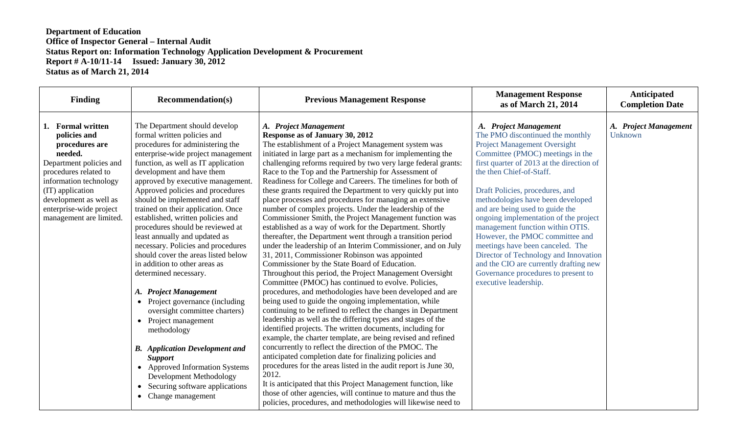| <b>Finding</b>                                                                                                                                                                                                                                   | <b>Recommendation(s)</b>                                                                                                                                                                                                                                                                                                                                                                                                                                                                                                                                                                                                                                                                                                                                                                                                                                                                                                                        | <b>Previous Management Response</b>                                                                                                                                                                                                                                                                                                                                                                                                                                                                                                                                                                                                                                                                                                                                                                                                                                                                                                                                                                                                                                                                                                                                                                                                                                                                                                                                                                                                                                                                                                                                                                                                                                                                                                                                                                                                  | <b>Management Response</b><br>as of March 21, 2014                                                                                                                                                                                                                                                                                                                                                                                                                                                                                                                                                                              | Anticipated<br><b>Completion Date</b> |
|--------------------------------------------------------------------------------------------------------------------------------------------------------------------------------------------------------------------------------------------------|-------------------------------------------------------------------------------------------------------------------------------------------------------------------------------------------------------------------------------------------------------------------------------------------------------------------------------------------------------------------------------------------------------------------------------------------------------------------------------------------------------------------------------------------------------------------------------------------------------------------------------------------------------------------------------------------------------------------------------------------------------------------------------------------------------------------------------------------------------------------------------------------------------------------------------------------------|--------------------------------------------------------------------------------------------------------------------------------------------------------------------------------------------------------------------------------------------------------------------------------------------------------------------------------------------------------------------------------------------------------------------------------------------------------------------------------------------------------------------------------------------------------------------------------------------------------------------------------------------------------------------------------------------------------------------------------------------------------------------------------------------------------------------------------------------------------------------------------------------------------------------------------------------------------------------------------------------------------------------------------------------------------------------------------------------------------------------------------------------------------------------------------------------------------------------------------------------------------------------------------------------------------------------------------------------------------------------------------------------------------------------------------------------------------------------------------------------------------------------------------------------------------------------------------------------------------------------------------------------------------------------------------------------------------------------------------------------------------------------------------------------------------------------------------------|---------------------------------------------------------------------------------------------------------------------------------------------------------------------------------------------------------------------------------------------------------------------------------------------------------------------------------------------------------------------------------------------------------------------------------------------------------------------------------------------------------------------------------------------------------------------------------------------------------------------------------|---------------------------------------|
| 1. Formal written<br>policies and<br>procedures are<br>needed.<br>Department policies and<br>procedures related to<br>information technology<br>(IT) application<br>development as well as<br>enterprise-wide project<br>management are limited. | The Department should develop<br>formal written policies and<br>procedures for administering the<br>enterprise-wide project management<br>function, as well as IT application<br>development and have them<br>approved by executive management.<br>Approved policies and procedures<br>should be implemented and staff<br>trained on their application. Once<br>established, written policies and<br>procedures should be reviewed at<br>least annually and updated as<br>necessary. Policies and procedures<br>should cover the areas listed below<br>in addition to other areas as<br>determined necessary.<br>A. Project Management<br>• Project governance (including<br>oversight committee charters)<br>• Project management<br>methodology<br><b>B.</b> Application Development and<br><b>Support</b><br>• Approved Information Systems<br>Development Methodology<br>Securing software applications<br>$\bullet$<br>• Change management | A. Project Management<br>Response as of January 30, 2012<br>The establishment of a Project Management system was<br>initiated in large part as a mechanism for implementing the<br>challenging reforms required by two very large federal grants:<br>Race to the Top and the Partnership for Assessment of<br>Readiness for College and Careers. The timelines for both of<br>these grants required the Department to very quickly put into<br>place processes and procedures for managing an extensive<br>number of complex projects. Under the leadership of the<br>Commissioner Smith, the Project Management function was<br>established as a way of work for the Department. Shortly<br>thereafter, the Department went through a transition period<br>under the leadership of an Interim Commissioner, and on July<br>31, 2011, Commissioner Robinson was appointed<br>Commissioner by the State Board of Education.<br>Throughout this period, the Project Management Oversight<br>Committee (PMOC) has continued to evolve. Policies,<br>procedures, and methodologies have been developed and are<br>being used to guide the ongoing implementation, while<br>continuing to be refined to reflect the changes in Department<br>leadership as well as the differing types and stages of the<br>identified projects. The written documents, including for<br>example, the charter template, are being revised and refined<br>concurrently to reflect the direction of the PMOC. The<br>anticipated completion date for finalizing policies and<br>procedures for the areas listed in the audit report is June 30,<br>2012.<br>It is anticipated that this Project Management function, like<br>those of other agencies, will continue to mature and thus the<br>policies, procedures, and methodologies will likewise need to | A. Project Management<br>The PMO discontinued the monthly<br><b>Project Management Oversight</b><br>Committee (PMOC) meetings in the<br>first quarter of 2013 at the direction of<br>the then Chief-of-Staff.<br>Draft Policies, procedures, and<br>methodologies have been developed<br>and are being used to guide the<br>ongoing implementation of the project<br>management function within OTIS.<br>However, the PMOC committee and<br>meetings have been canceled. The<br>Director of Technology and Innovation<br>and the CIO are currently drafting new<br>Governance procedures to present to<br>executive leadership. | A. Project Management<br>Unknown      |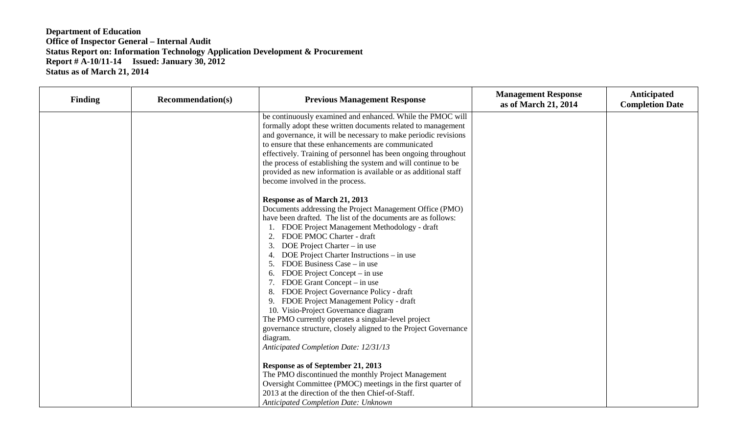| <b>Finding</b> | <b>Recommendation(s)</b> | <b>Previous Management Response</b>                                                                                                                                                                                                                                                                                                                                                                                                                                                                                                                                                                                                                                                                                                                                                                                                                          | <b>Management Response</b><br>as of March 21, 2014 | Anticipated<br><b>Completion Date</b> |
|----------------|--------------------------|--------------------------------------------------------------------------------------------------------------------------------------------------------------------------------------------------------------------------------------------------------------------------------------------------------------------------------------------------------------------------------------------------------------------------------------------------------------------------------------------------------------------------------------------------------------------------------------------------------------------------------------------------------------------------------------------------------------------------------------------------------------------------------------------------------------------------------------------------------------|----------------------------------------------------|---------------------------------------|
|                |                          | be continuously examined and enhanced. While the PMOC will<br>formally adopt these written documents related to management<br>and governance, it will be necessary to make periodic revisions<br>to ensure that these enhancements are communicated<br>effectively. Training of personnel has been ongoing throughout<br>the process of establishing the system and will continue to be<br>provided as new information is available or as additional staff                                                                                                                                                                                                                                                                                                                                                                                                   |                                                    |                                       |
|                |                          | become involved in the process.                                                                                                                                                                                                                                                                                                                                                                                                                                                                                                                                                                                                                                                                                                                                                                                                                              |                                                    |                                       |
|                |                          | Response as of March 21, 2013<br>Documents addressing the Project Management Office (PMO)<br>have been drafted. The list of the documents are as follows:<br>FDOE Project Management Methodology - draft<br>FDOE PMOC Charter - draft<br>2.<br>3.<br>DOE Project Charter – in use<br>DOE Project Charter Instructions – in use<br>4.<br>FDOE Business Case – in use<br>FDOE Project Concept – in use<br>6.<br>FDOE Grant Concept – in use<br>FDOE Project Governance Policy - draft<br>8.<br>FDOE Project Management Policy - draft<br>9.<br>10. Visio-Project Governance diagram<br>The PMO currently operates a singular-level project<br>governance structure, closely aligned to the Project Governance<br>diagram.<br>Anticipated Completion Date: 12/31/13<br>Response as of September 21, 2013<br>The PMO discontinued the monthly Project Management |                                                    |                                       |
|                |                          | Oversight Committee (PMOC) meetings in the first quarter of<br>2013 at the direction of the then Chief-of-Staff.                                                                                                                                                                                                                                                                                                                                                                                                                                                                                                                                                                                                                                                                                                                                             |                                                    |                                       |
|                |                          | <b>Anticipated Completion Date: Unknown</b>                                                                                                                                                                                                                                                                                                                                                                                                                                                                                                                                                                                                                                                                                                                                                                                                                  |                                                    |                                       |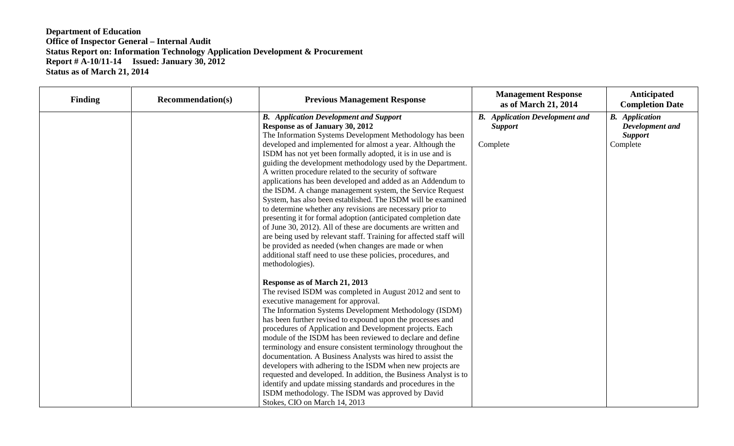| <b>Finding</b> | <b>Recommendation(s)</b> | <b>Previous Management Response</b>                                                                                                                                                                                                                                                                                                                                                                                                                                                                                                                                                                                                                                                                                                                                                                                                                                                                                                                                                                             | <b>Management Response</b><br>as of March 21, 2014                  | Anticipated<br><b>Completion Date</b>                                  |
|----------------|--------------------------|-----------------------------------------------------------------------------------------------------------------------------------------------------------------------------------------------------------------------------------------------------------------------------------------------------------------------------------------------------------------------------------------------------------------------------------------------------------------------------------------------------------------------------------------------------------------------------------------------------------------------------------------------------------------------------------------------------------------------------------------------------------------------------------------------------------------------------------------------------------------------------------------------------------------------------------------------------------------------------------------------------------------|---------------------------------------------------------------------|------------------------------------------------------------------------|
|                |                          | <b>B.</b> Application Development and Support<br>Response as of January 30, 2012<br>The Information Systems Development Methodology has been<br>developed and implemented for almost a year. Although the<br>ISDM has not yet been formally adopted, it is in use and is<br>guiding the development methodology used by the Department.<br>A written procedure related to the security of software<br>applications has been developed and added as an Addendum to<br>the ISDM. A change management system, the Service Request<br>System, has also been established. The ISDM will be examined<br>to determine whether any revisions are necessary prior to<br>presenting it for formal adoption (anticipated completion date<br>of June 30, 2012). All of these are documents are written and<br>are being used by relevant staff. Training for affected staff will<br>be provided as needed (when changes are made or when<br>additional staff need to use these policies, procedures, and<br>methodologies). | <b>B.</b> Application Development and<br><b>Support</b><br>Complete | <b>B.</b> Application<br>Development and<br><b>Support</b><br>Complete |
|                |                          | Response as of March 21, 2013<br>The revised ISDM was completed in August 2012 and sent to<br>executive management for approval.<br>The Information Systems Development Methodology (ISDM)<br>has been further revised to expound upon the processes and<br>procedures of Application and Development projects. Each<br>module of the ISDM has been reviewed to declare and define<br>terminology and ensure consistent terminology throughout the<br>documentation. A Business Analysts was hired to assist the<br>developers with adhering to the ISDM when new projects are<br>requested and developed. In addition, the Business Analyst is to<br>identify and update missing standards and procedures in the<br>ISDM methodology. The ISDM was approved by David<br>Stokes, CIO on March 14, 2013                                                                                                                                                                                                          |                                                                     |                                                                        |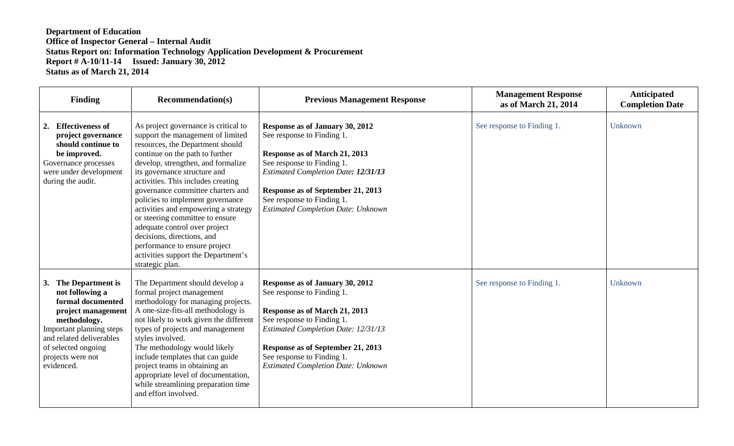| <b>Finding</b>                                                                                                                                                                                                       | <b>Recommendation(s)</b>                                                                                                                                                                                                                                                                                                                                                                                                                                                                                                                                                   | <b>Previous Management Response</b>                                                                                                                                                                                                                                                        | <b>Management Response</b><br>as of March 21, 2014 | <b>Anticipated</b><br><b>Completion Date</b> |
|----------------------------------------------------------------------------------------------------------------------------------------------------------------------------------------------------------------------|----------------------------------------------------------------------------------------------------------------------------------------------------------------------------------------------------------------------------------------------------------------------------------------------------------------------------------------------------------------------------------------------------------------------------------------------------------------------------------------------------------------------------------------------------------------------------|--------------------------------------------------------------------------------------------------------------------------------------------------------------------------------------------------------------------------------------------------------------------------------------------|----------------------------------------------------|----------------------------------------------|
| 2. Effectiveness of<br>project governance<br>should continue to<br>be improved.<br>Governance processes<br>were under development<br>during the audit.                                                               | As project governance is critical to<br>support the management of limited<br>resources, the Department should<br>continue on the path to further<br>develop, strengthen, and formalize<br>its governance structure and<br>activities. This includes creating<br>governance committee charters and<br>policies to implement governance<br>activities and empowering a strategy<br>or steering committee to ensure<br>adequate control over project<br>decisions, directions, and<br>performance to ensure project<br>activities support the Department's<br>strategic plan. | Response as of January 30, 2012<br>See response to Finding 1.<br>Response as of March 21, 2013<br>See response to Finding 1.<br><b>Estimated Completion Date: 12/31/13</b><br>Response as of September 21, 2013<br>See response to Finding 1.<br><b>Estimated Completion Date: Unknown</b> | See response to Finding 1.                         | Unknown                                      |
| 3. The Department is<br>not following a<br>formal documented<br>project management<br>methodology.<br>Important planning steps<br>and related deliverables<br>of selected ongoing<br>projects were not<br>evidenced. | The Department should develop a<br>formal project management<br>methodology for managing projects.<br>A one-size-fits-all methodology is<br>not likely to work given the different<br>types of projects and management<br>styles involved.<br>The methodology would likely<br>include templates that can guide<br>project teams in obtaining an<br>appropriate level of documentation,<br>while streamlining preparation time<br>and effort involved.                                                                                                                      | Response as of January 30, 2012<br>See response to Finding 1.<br>Response as of March 21, 2013<br>See response to Finding 1.<br><b>Estimated Completion Date: 12/31/13</b><br>Response as of September 21, 2013<br>See response to Finding 1.<br><b>Estimated Completion Date: Unknown</b> | See response to Finding 1.                         | Unknown                                      |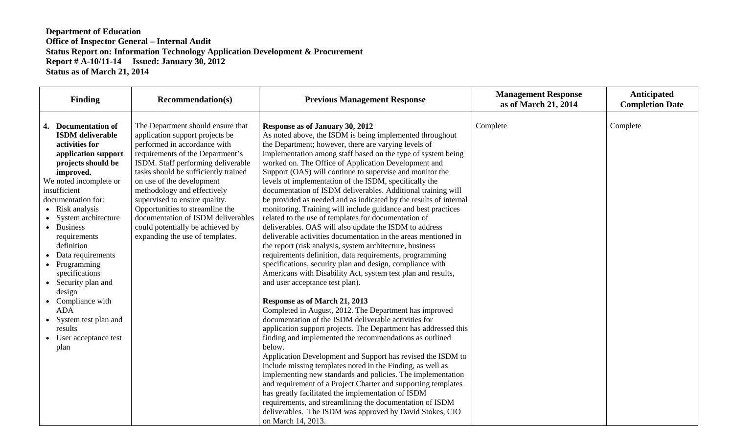| Finding                                                                                                                                                                                                                                                                                                                                                                                                                                                                         | <b>Recommendation(s)</b>                                                                                                                                                                                                                                                                                                                                                                                                                                            | <b>Previous Management Response</b>                                                                                                                                                                                                                                                                                                                                                                                                                                                                                                                                                                                                                                                                                                                                                                                                                                                                                                                                                                                                                                                                                                                                                                                                                                                                                                                                                                                                                                                                                                                                                                                                                                                                                                                                                                                                            | <b>Management Response</b><br>as of March 21, 2014 | Anticipated<br><b>Completion Date</b> |
|---------------------------------------------------------------------------------------------------------------------------------------------------------------------------------------------------------------------------------------------------------------------------------------------------------------------------------------------------------------------------------------------------------------------------------------------------------------------------------|---------------------------------------------------------------------------------------------------------------------------------------------------------------------------------------------------------------------------------------------------------------------------------------------------------------------------------------------------------------------------------------------------------------------------------------------------------------------|------------------------------------------------------------------------------------------------------------------------------------------------------------------------------------------------------------------------------------------------------------------------------------------------------------------------------------------------------------------------------------------------------------------------------------------------------------------------------------------------------------------------------------------------------------------------------------------------------------------------------------------------------------------------------------------------------------------------------------------------------------------------------------------------------------------------------------------------------------------------------------------------------------------------------------------------------------------------------------------------------------------------------------------------------------------------------------------------------------------------------------------------------------------------------------------------------------------------------------------------------------------------------------------------------------------------------------------------------------------------------------------------------------------------------------------------------------------------------------------------------------------------------------------------------------------------------------------------------------------------------------------------------------------------------------------------------------------------------------------------------------------------------------------------------------------------------------------------|----------------------------------------------------|---------------------------------------|
| 4. Documentation of<br><b>ISDM</b> deliverable<br>activities for<br>application support<br>projects should be<br>improved.<br>We noted incomplete or<br>insufficient<br>documentation for:<br>• Risk analysis<br>System architecture<br>• Business<br>requirements<br>definition<br>Data requirements<br>• Programming<br>specifications<br>• Security plan and<br>design<br>• Compliance with<br><b>ADA</b><br>System test plan and<br>results<br>User acceptance test<br>plan | The Department should ensure that<br>application support projects be<br>performed in accordance with<br>requirements of the Department's<br>ISDM. Staff performing deliverable<br>tasks should be sufficiently trained<br>on use of the development<br>methodology and effectively<br>supervised to ensure quality.<br>Opportunities to streamline the<br>documentation of ISDM deliverables<br>could potentially be achieved by<br>expanding the use of templates. | Response as of January 30, 2012<br>As noted above, the ISDM is being implemented throughout<br>the Department; however, there are varying levels of<br>implementation among staff based on the type of system being<br>worked on. The Office of Application Development and<br>Support (OAS) will continue to supervise and monitor the<br>levels of implementation of the ISDM, specifically the<br>documentation of ISDM deliverables. Additional training will<br>be provided as needed and as indicated by the results of internal<br>monitoring. Training will include guidance and best practices<br>related to the use of templates for documentation of<br>deliverables. OAS will also update the ISDM to address<br>deliverable activities documentation in the areas mentioned in<br>the report (risk analysis, system architecture, business<br>requirements definition, data requirements, programming<br>specifications, security plan and design, compliance with<br>Americans with Disability Act, system test plan and results,<br>and user acceptance test plan).<br>Response as of March 21, 2013<br>Completed in August, 2012. The Department has improved<br>documentation of the ISDM deliverable activities for<br>application support projects. The Department has addressed this<br>finding and implemented the recommendations as outlined<br>below.<br>Application Development and Support has revised the ISDM to<br>include missing templates noted in the Finding, as well as<br>implementing new standards and policies. The implementation<br>and requirement of a Project Charter and supporting templates<br>has greatly facilitated the implementation of ISDM<br>requirements, and streamlining the documentation of ISDM<br>deliverables. The ISDM was approved by David Stokes, CIO<br>on March 14, 2013. | Complete                                           | Complete                              |